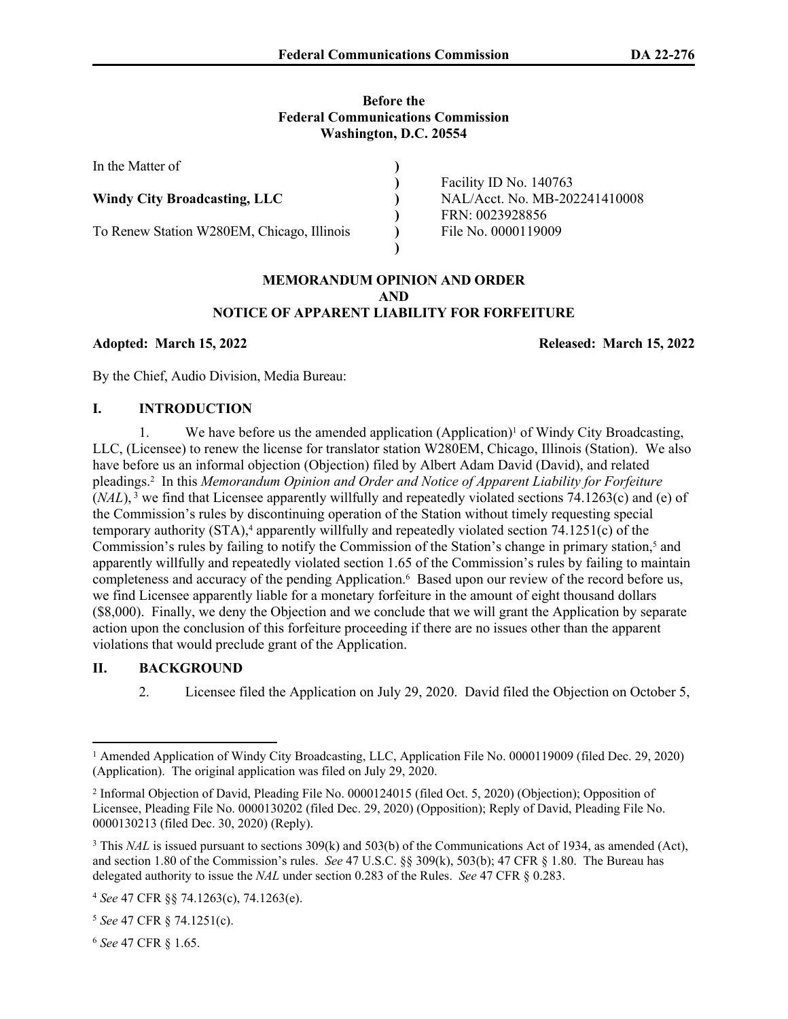### **Before the Federal Communications Commission Washington, D.C. 20554**

| In the Matter of                           |                               |
|--------------------------------------------|-------------------------------|
|                                            | Facility ID No. 140763        |
| <b>Windy City Broadcasting, LLC</b>        | NAL/Acct. No. MB-202241410008 |
|                                            | FRN: 0023928856               |
| To Renew Station W280EM, Chicago, Illinois | File No. 0000119009           |
|                                            |                               |

### **MEMORANDUM OPINION AND ORDER AND NOTICE OF APPARENT LIABILITY FOR FORFEITURE**

**Adopted: March 15, 2022 Released: March 15, 2022**

By the Chief, Audio Division, Media Bureau:

## **I. INTRODUCTION**

1. We have before us the amended application (Application)<sup>1</sup> of Windy City Broadcasting, LLC, (Licensee) to renew the license for translator station W280EM, Chicago, Illinois (Station). We also have before us an informal objection (Objection) filed by Albert Adam David (David), and related pleadings.<sup>2</sup> In this *Memorandum Opinion and Order and Notice of Apparent Liability for Forfeiture*  $(MAL)$ ,<sup>3</sup> we find that Licensee apparently willfully and repeatedly violated sections 74.1263(c) and (e) of the Commission's rules by discontinuing operation of the Station without timely requesting special temporary authority (STA),<sup>4</sup> apparently willfully and repeatedly violated section 74.1251(c) of the Commission's rules by failing to notify the Commission of the Station's change in primary station,<sup>5</sup> and apparently willfully and repeatedly violated section 1.65 of the Commission's rules by failing to maintain completeness and accuracy of the pending Application.<sup>6</sup> Based upon our review of the record before us, we find Licensee apparently liable for a monetary forfeiture in the amount of eight thousand dollars (\$8,000). Finally, we deny the Objection and we conclude that we will grant the Application by separate action upon the conclusion of this forfeiture proceeding if there are no issues other than the apparent violations that would preclude grant of the Application.

# **II. BACKGROUND**

2. Licensee filed the Application on July 29, 2020. David filed the Objection on October 5,

<sup>6</sup> *See* 47 CFR § 1.65.

<sup>&</sup>lt;sup>1</sup> Amended Application of Windy City Broadcasting, LLC, Application File No. 0000119009 (filed Dec. 29, 2020) (Application). The original application was filed on July 29, 2020.

<sup>2</sup> Informal Objection of David, Pleading File No. 0000124015 (filed Oct. 5, 2020) (Objection); Opposition of Licensee, Pleading File No. 0000130202 (filed Dec. 29, 2020) (Opposition); Reply of David, Pleading File No. 0000130213 (filed Dec. 30, 2020) (Reply).

<sup>&</sup>lt;sup>3</sup> This *NAL* is issued pursuant to sections 309(k) and 503(b) of the Communications Act of 1934, as amended (Act), and section 1.80 of the Commission's rules. *See* 47 U.S.C. §§ 309(k), 503(b); 47 CFR § 1.80. The Bureau has delegated authority to issue the *NAL* under section 0.283 of the Rules. *See* 47 CFR § 0.283.

<sup>4</sup> *See* 47 CFR §§ 74.1263(c), 74.1263(e).

<sup>5</sup> *See* 47 CFR § 74.1251(c).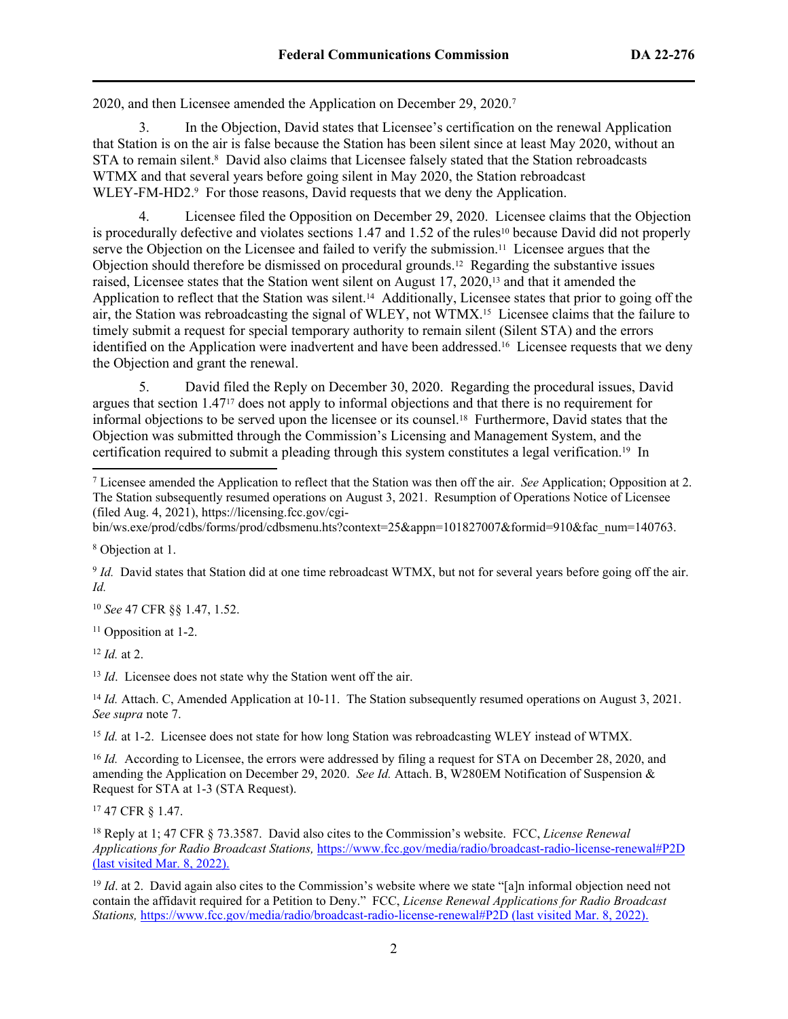2020, and then Licensee amended the Application on December 29, 2020.<sup>7</sup>

3. In the Objection, David states that Licensee's certification on the renewal Application that Station is on the air is false because the Station has been silent since at least May 2020, without an STA to remain silent.<sup>8</sup> David also claims that Licensee falsely stated that the Station rebroadcasts WTMX and that several years before going silent in May 2020, the Station rebroadcast WLEY-FM-HD2.<sup>9</sup> For those reasons, David requests that we deny the Application.

4. Licensee filed the Opposition on December 29, 2020. Licensee claims that the Objection is procedurally defective and violates sections 1.47 and 1.52 of the rules<sup>10</sup> because David did not properly serve the Objection on the Licensee and failed to verify the submission.<sup>11</sup> Licensee argues that the Objection should therefore be dismissed on procedural grounds.12 Regarding the substantive issues raised, Licensee states that the Station went silent on August 17, 2020,13 and that it amended the Application to reflect that the Station was silent.<sup>14</sup> Additionally, Licensee states that prior to going off the air, the Station was rebroadcasting the signal of WLEY, not WTMX.15 Licensee claims that the failure to timely submit a request for special temporary authority to remain silent (Silent STA) and the errors identified on the Application were inadvertent and have been addressed.16 Licensee requests that we deny the Objection and grant the renewal.

5. David filed the Reply on December 30, 2020. Regarding the procedural issues, David argues that section 1.4717 does not apply to informal objections and that there is no requirement for informal objections to be served upon the licensee or its counsel.18 Furthermore, David states that the Objection was submitted through the Commission's Licensing and Management System, and the certification required to submit a pleading through this system constitutes a legal verification.19 In

8 Objection at 1.

9 *Id.* David states that Station did at one time rebroadcast WTMX, but not for several years before going off the air. *Id.*

<sup>10</sup> *See* 47 CFR §§ 1.47, 1.52.

<sup>11</sup> Opposition at 1-2.

<sup>12</sup> *Id.* at 2.

<sup>13</sup> *Id*. Licensee does not state why the Station went off the air.

<sup>14</sup> *Id.* Attach. C, Amended Application at 10-11. The Station subsequently resumed operations on August 3, 2021. *See supra* note 7.

<sup>15</sup> *Id.* at 1-2. Licensee does not state for how long Station was rebroadcasting WLEY instead of WTMX.

<sup>16</sup> *Id.* According to Licensee, the errors were addressed by filing a request for STA on December 28, 2020, and amending the Application on December 29, 2020. *See Id.* Attach. B, W280EM Notification of Suspension & Request for STA at 1-3 (STA Request).

<sup>17</sup> 47 CFR § 1.47.

<sup>18</sup> Reply at 1; 47 CFR § 73.3587. David also cites to the Commission's website. FCC, *License Renewal Applications for Radio Broadcast Stations,* <https://www.fcc.gov/media/radio/broadcast-radio-license-renewal#P2D> (last visited Mar. 8, 2022).

<sup>19</sup> *Id.* at 2. David again also cites to the Commission's website where we state "[a]n informal objection need not contain the affidavit required for a Petition to Deny." FCC, *License Renewal Applications for Radio Broadcast Stations,* <https://www.fcc.gov/media/radio/broadcast-radio-license-renewal#P2D> (last visited Mar. 8, 2022).

<sup>7</sup> Licensee amended the Application to reflect that the Station was then off the air. *See* Application; Opposition at 2. The Station subsequently resumed operations on August 3, 2021. Resumption of Operations Notice of Licensee (filed Aug. 4, 2021), https://licensing.fcc.gov/cgi-

bin/ws.exe/prod/cdbs/forms/prod/cdbsmenu.hts?context=25&appn=101827007&formid=910&fac\_num=140763.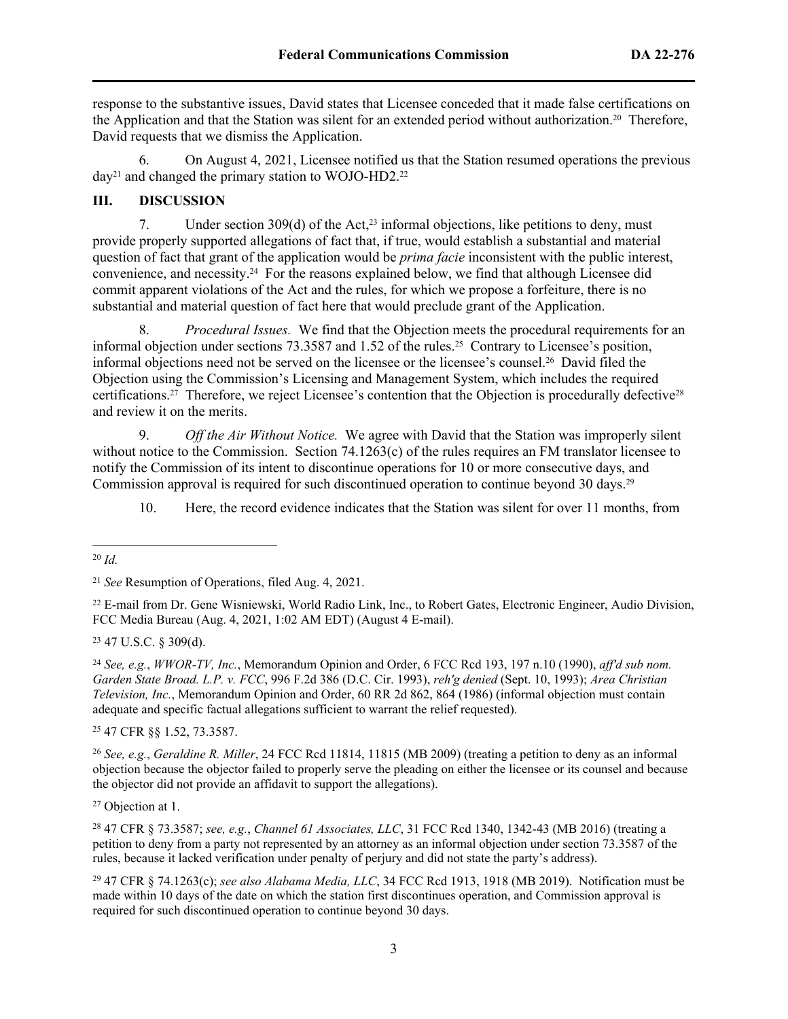response to the substantive issues, David states that Licensee conceded that it made false certifications on the Application and that the Station was silent for an extended period without authorization.20 Therefore, David requests that we dismiss the Application.

6. On August 4, 2021, Licensee notified us that the Station resumed operations the previous  $day^{21}$  and changed the primary station to WOJO-HD2.<sup>22</sup>

## **III. DISCUSSION**

7. Under section 309(d) of the Act,<sup>23</sup> informal objections, like petitions to deny, must provide properly supported allegations of fact that, if true, would establish a substantial and material question of fact that grant of the application would be *prima facie* inconsistent with the public interest, convenience, and necessity.24 For the reasons explained below, we find that although Licensee did commit apparent violations of the Act and the rules, for which we propose a forfeiture, there is no substantial and material question of fact here that would preclude grant of the Application.

8. *Procedural Issues.* We find that the Objection meets the procedural requirements for an informal objection under sections 73.3587 and 1.52 of the rules.25 Contrary to Licensee's position, informal objections need not be served on the licensee or the licensee's counsel.26 David filed the Objection using the Commission's Licensing and Management System, which includes the required certifications.<sup>27</sup> Therefore, we reject Licensee's contention that the Objection is procedurally defective<sup>28</sup> and review it on the merits.

9. *Off the Air Without Notice.* We agree with David that the Station was improperly silent without notice to the Commission. Section 74.1263(c) of the rules requires an FM translator licensee to notify the Commission of its intent to discontinue operations for 10 or more consecutive days, and Commission approval is required for such discontinued operation to continue beyond 30 days.<sup>29</sup>

10. Here, the record evidence indicates that the Station was silent for over 11 months, from

<sup>22</sup> E-mail from Dr. Gene Wisniewski, World Radio Link, Inc., to Robert Gates, Electronic Engineer, Audio Division, FCC Media Bureau (Aug. 4, 2021, 1:02 AM EDT) (August 4 E-mail).

<sup>23</sup> [47 U.S.C. § 309\(d\)](https://1.next.westlaw.com/Link/Document/FullText?findType=L&pubNum=1000546&cite=47USCAS309&originatingDoc=I9a6244513d8311e6a807ad48145ed9f1&refType=RB&originationContext=document&transitionType=DocumentItem&contextData=(sc.Search)#co_pp_5ba1000067d06).

<sup>24</sup> *See, e.g.*, *WWOR-TV, Inc.*[, Memorandum Opinion and Order, 6 FCC Rcd 193, 197 n.10 \(1990\),](https://1.next.westlaw.com/Link/Document/FullText?findType=Y&serNum=1990195256&pubNum=0004493&originatingDoc=I9a6244513d8311e6a807ad48145ed9f1&refType=CA&fi=co_pp_sp_4493_197&originationContext=document&transitionType=DocumentItem&contextData=(sc.Search)#co_pp_sp_4493_197) *aff'd sub nom. [Garden State Broad. L.P. v. FCC](https://1.next.westlaw.com/Link/Document/FullText?findType=Y&serNum=1993122752&pubNum=0000350&originatingDoc=I9a6244513d8311e6a807ad48145ed9f1&refType=RP&originationContext=document&transitionType=DocumentItem&contextData=(sc.Search))*, 996 F.2d 386 (D.C. Cir. 1993), *reh'g denied* (Sept. 10, 1993); *[Area Christian](https://1.next.westlaw.com/Link/Document/FullText?findType=Y&serNum=1986028724&pubNum=0000265&originatingDoc=I9a6244513d8311e6a807ad48145ed9f1&refType=CA&fi=co_pp_sp_265_864&originationContext=document&transitionType=DocumentItem&contextData=(sc.Search)#co_pp_sp_265_864)  Television, Inc.*[, Memorandum Opinion and Order, 60 RR 2d 862, 864 \(1986\)](https://1.next.westlaw.com/Link/Document/FullText?findType=Y&serNum=1986028724&pubNum=0000265&originatingDoc=I9a6244513d8311e6a807ad48145ed9f1&refType=CA&fi=co_pp_sp_265_864&originationContext=document&transitionType=DocumentItem&contextData=(sc.Search)#co_pp_sp_265_864) (informal objection must contain adequate and specific factual allegations sufficient to warrant the relief requested).

<sup>25</sup> 47 CFR §§ 1.52, 73.3587.

<sup>26</sup> *See, e.g.*, *Geraldine R. Miller*, 24 FCC Rcd 11814, 11815 (MB 2009) (treating a petition to deny as an informal objection because the objector failed to properly serve the pleading on either the licensee or its counsel and because the objector did not provide an affidavit to support the allegations).

<sup>27</sup> Objection at 1.

<sup>28</sup> 47 CFR § 73.3587; *see, e.g.*, *Channel 61 Associates, LLC*, 31 FCC Rcd 1340, 1342-43 (MB 2016) (treating a petition to deny from a party not represented by an attorney as an informal objection under section 73.3587 of the rules, because it lacked verification under penalty of perjury and did not state the party's address).

<sup>29</sup> 47 CFR § 74.1263(c); *see also Alabama Media, LLC*, 34 FCC Rcd 1913, 1918 (MB 2019). Notification must be made within 10 days of the date on which the station first discontinues operation, and Commission approval is required for such discontinued operation to continue beyond 30 days.

<sup>20</sup> *Id.*

<sup>21</sup> *See* Resumption of Operations, filed Aug. 4, 2021.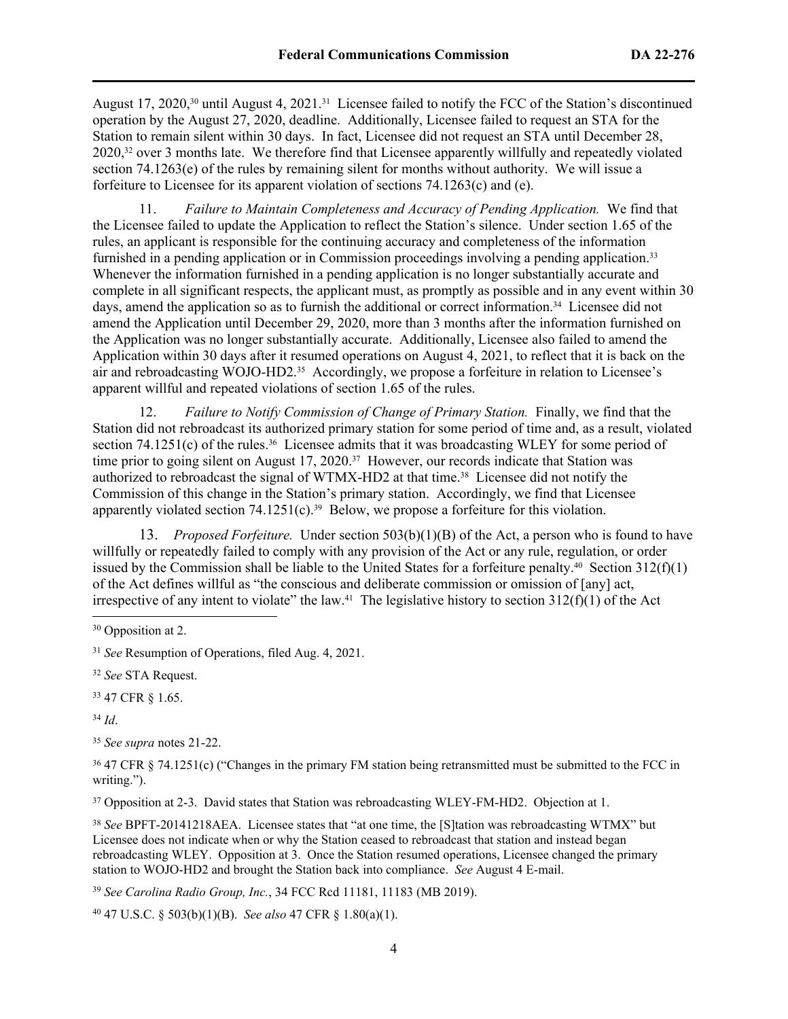August 17, 2020,30 until August 4, 2021.31 Licensee failed to notify the FCC of the Station's discontinued operation by the August 27, 2020, deadline. Additionally, Licensee failed to request an STA for the Station to remain silent within 30 days. In fact, Licensee did not request an STA until December 28, 2020,<sup>32</sup> over 3 months late. We therefore find that Licensee apparently willfully and repeatedly violated section 74.1263(e) of the rules by remaining silent for months without authority. We will issue a forfeiture to Licensee for its apparent violation of sections 74.1263(c) and (e).

11. *Failure to Maintain Completeness and Accuracy of Pending Application.* We find that the Licensee failed to update the Application to reflect the Station's silence. Under section 1.65 of the rules, an applicant is responsible for the continuing accuracy and completeness of the information furnished in a pending application or in Commission proceedings involving a pending application.<sup>33</sup> Whenever the information furnished in a pending application is no longer substantially accurate and complete in all significant respects, the applicant must, as promptly as possible and in any event within 30 days, amend the application so as to furnish the additional or correct information.34 Licensee did not amend the Application until December 29, 2020, more than 3 months after the information furnished on the Application was no longer substantially accurate. Additionally, Licensee also failed to amend the Application within 30 days after it resumed operations on August 4, 2021, to reflect that it is back on the air and rebroadcasting WOJO-HD2.35 Accordingly, we propose a forfeiture in relation to Licensee's apparent willful and repeated violations of section 1.65 of the rules.

12. *Failure to Notify Commission of Change of Primary Station.* Finally, we find that the Station did not rebroadcast its authorized primary station for some period of time and, as a result, violated section 74.1251(c) of the rules.<sup>36</sup> Licensee admits that it was broadcasting WLEY for some period of time prior to going silent on August 17, 2020.<sup>37</sup> However, our records indicate that Station was authorized to rebroadcast the signal of WTMX-HD2 at that time.38 Licensee did not notify the Commission of this change in the Station's primary station. Accordingly, we find that Licensee apparently violated section  $74.1251(c)$ .<sup>39</sup> Below, we propose a forfeiture for this violation.

13. *Proposed Forfeiture.* Under section 503(b)(1)(B) of the Act, a person who is found to have willfully or repeatedly failed to comply with any provision of the Act or any rule, regulation, or order issued by the Commission shall be liable to the United States for a forfeiture penalty.<sup>40</sup> Section  $312(f)(1)$ of the Act defines willful as "the conscious and deliberate commission or omission of [any] act, irrespective of any intent to violate" the law.<sup>41</sup> The legislative history to section  $312(f)(1)$  of the Act

<sup>32</sup> *See* STA Request.

<sup>33</sup> 47 CFR § 1.65.

<sup>34</sup> *Id*.

<sup>35</sup> *See supra* notes 21-22.

<sup>36</sup> 47 CFR § 74.1251(c) ("Changes in the primary FM station being retransmitted must be submitted to the FCC in writing.").

<sup>37</sup> Opposition at 2-3. David states that Station was rebroadcasting WLEY-FM-HD2. Objection at 1.

<sup>38</sup> *See* BPFT-20141218AEA. Licensee states that "at one time, the [S]tation was rebroadcasting WTMX" but Licensee does not indicate when or why the Station ceased to rebroadcast that station and instead began rebroadcasting WLEY. Opposition at 3. Once the Station resumed operations, Licensee changed the primary station to WOJO-HD2 and brought the Station back into compliance. *See* August 4 E-mail.

<sup>39</sup> *See Carolina Radio Group, Inc.*, 34 FCC Rcd 11181, 11183 (MB 2019).

40 47 U.S.C. § 503(b)(1)(B). *See also* 47 CFR § 1.80(a)(1).

<sup>&</sup>lt;sup>30</sup> Opposition at 2.

<sup>31</sup> *See* Resumption of Operations, filed Aug. 4, 2021.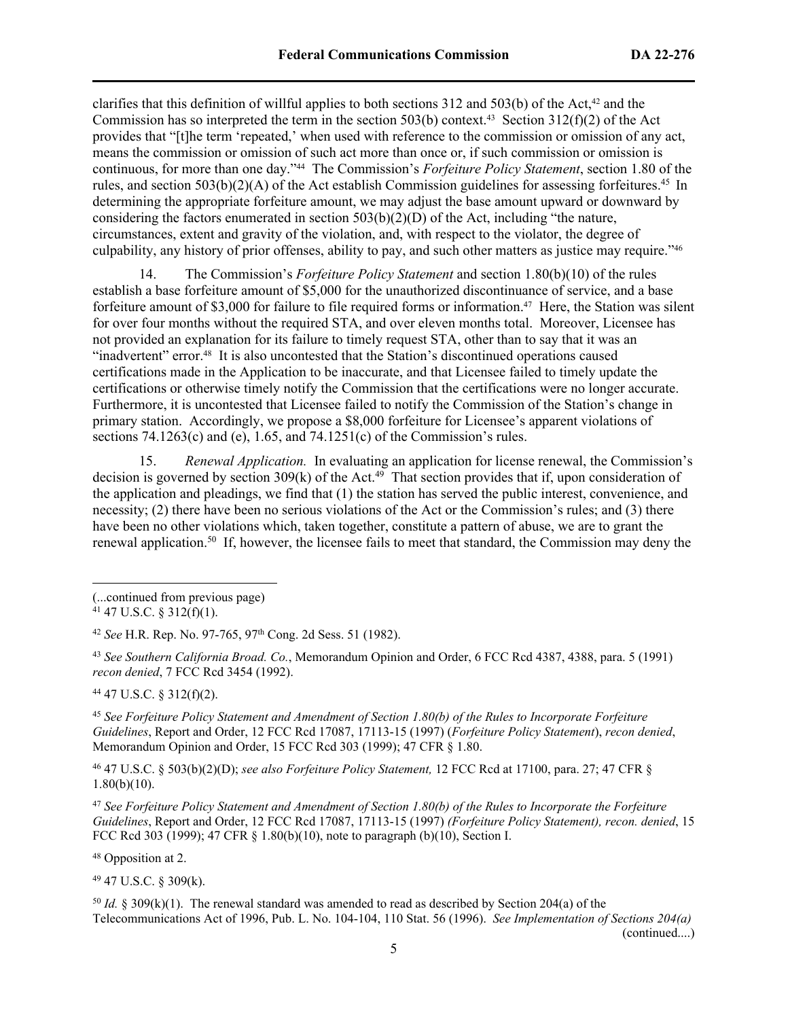clarifies that this definition of willful applies to both sections  $312$  and  $503(b)$  of the Act,<sup>42</sup> and the Commission has so interpreted the term in the section 503(b) context.<sup>43</sup> Section 312(f)(2) of the Act provides that "[t]he term 'repeated,' when used with reference to the commission or omission of any act, means the commission or omission of such act more than once or, if such commission or omission is continuous, for more than one day."44 The Commission's *Forfeiture Policy Statement*, section 1.80 of the rules, and section  $503(b)(2)(A)$  of the Act establish Commission guidelines for assessing forfeitures.<sup>45</sup> In determining the appropriate forfeiture amount, we may adjust the base amount upward or downward by considering the factors enumerated in section  $503(b)(2)(D)$  of the Act, including "the nature, circumstances, extent and gravity of the violation, and, with respect to the violator, the degree of culpability, any history of prior offenses, ability to pay, and such other matters as justice may require."<sup>46</sup>

14. The Commission's *Forfeiture Policy Statement* and section 1.80(b)(10) of the rules establish a base forfeiture amount of \$5,000 for the unauthorized discontinuance of service, and a base forfeiture amount of \$3,000 for failure to file required forms or information.47 Here, the Station was silent for over four months without the required STA, and over eleven months total. Moreover, Licensee has not provided an explanation for its failure to timely request STA, other than to say that it was an "inadvertent" error.48 It is also uncontested that the Station's discontinued operations caused certifications made in the Application to be inaccurate, and that Licensee failed to timely update the certifications or otherwise timely notify the Commission that the certifications were no longer accurate. Furthermore, it is uncontested that Licensee failed to notify the Commission of the Station's change in primary station. Accordingly, we propose a \$8,000 forfeiture for Licensee's apparent violations of sections  $74.1263(c)$  and  $(e)$ , 1.65, and  $74.1251(c)$  of the Commission's rules.

15. *Renewal Application.* In evaluating an application for license renewal, the Commission's decision is governed by section 309(k) of the Act.<sup>49</sup> That section provides that if, upon consideration of the application and pleadings, we find that (1) the station has served the public interest, convenience, and necessity; (2) there have been no serious violations of the Act or the Commission's rules; and (3) there have been no other violations which, taken together, constitute a pattern of abuse, we are to grant the renewal application.<sup>50</sup> If, however, the licensee fails to meet that standard, the Commission may deny the

<sup>44</sup> 47 U.S.C. § 312(f)(2).

<sup>45</sup> *See Forfeiture Policy Statement and Amendment of Section 1.80(b) of the Rules to Incorporate Forfeiture Guidelines*, Report and Order, 12 FCC Rcd 17087, 17113-15 (1997) (*Forfeiture Policy Statement*), *recon denied*, Memorandum Opinion and Order, 15 FCC Rcd 303 (1999); 47 CFR § 1.80.

<sup>46</sup> 47 U.S.C. § 503(b)(2)(D); *see also Forfeiture Policy Statement,* 12 FCC Rcd at 17100, para. 27; 47 CFR §  $1.80(b)(10)$ .

<sup>47</sup> *See Forfeiture Policy Statement and Amendment of Section 1.80(b) of the Rules to Incorporate the Forfeiture Guidelines*, Report and Order, 12 FCC Rcd 17087, 17113-15 (1997) *(Forfeiture Policy Statement), recon. denied*, 15 FCC Rcd 303 (1999); 47 CFR § 1.80(b)(10), note to paragraph (b)(10), Section I.

<sup>48</sup> Opposition at 2.

<sup>49</sup> 47 U.S.C. § 309(k).

<sup>50</sup> *Id.* § 309(k)(1). The renewal standard was amended to read as described by Section 204(a) of the Telecommunications Act of 1996, Pub. L. No. 104-104, 110 Stat. 56 (1996). *See Implementation of Sections 204(a)*  (continued....)

<sup>(...</sup>continued from previous page)

 $41$  47 U.S.C. § 312(f)(1).

<sup>42</sup> *See* H.R. Rep. No. 97-765, 97th Cong. 2d Sess. 51 (1982).

<sup>43</sup> *See Southern California Broad. Co.*, Memorandum Opinion and Order, 6 FCC Rcd 4387, 4388, para. 5 (1991) *recon denied*, 7 FCC Rcd 3454 (1992).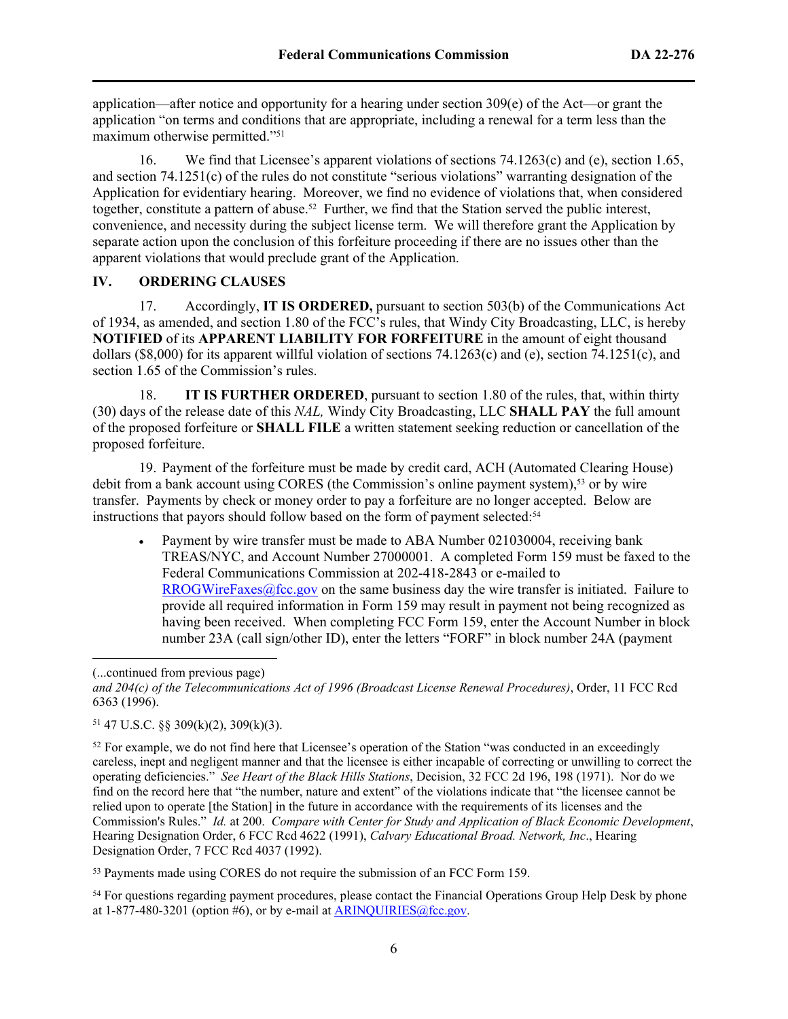application—after notice and opportunity for a hearing under section  $309(e)$  of the Act—or grant the application "on terms and conditions that are appropriate, including a renewal for a term less than the maximum otherwise permitted."<sup>51</sup>

16. We find that Licensee's apparent violations of sections 74.1263(c) and (e), section 1.65, and section 74.1251(c) of the rules do not constitute "serious violations" warranting designation of the Application for evidentiary hearing. Moreover, we find no evidence of violations that, when considered together, constitute a pattern of abuse.52 Further, we find that the Station served the public interest, convenience, and necessity during the subject license term. We will therefore grant the Application by separate action upon the conclusion of this forfeiture proceeding if there are no issues other than the apparent violations that would preclude grant of the Application.

### **IV. ORDERING CLAUSES**

17. Accordingly, **IT IS ORDERED,** pursuant to section 503(b) of the Communications Act of 1934, as amended, and section 1.80 of the FCC's rules, that Windy City Broadcasting, LLC, is hereby **NOTIFIED** of its **APPARENT LIABILITY FOR FORFEITURE** in the amount of eight thousand dollars (\$8,000) for its apparent willful violation of sections 74.1263(c) and (e), section 74.1251(c), and section 1.65 of the Commission's rules.

18. **IT IS FURTHER ORDERED**, pursuant to section 1.80 of the rules, that, within thirty (30) days of the release date of this *NAL,* Windy City Broadcasting, LLC **SHALL PAY** the full amount of the proposed forfeiture or **SHALL FILE** a written statement seeking reduction or cancellation of the proposed forfeiture.

19. Payment of the forfeiture must be made by credit card, ACH (Automated Clearing House) debit from a bank account using CORES (the Commission's online payment system),<sup>53</sup> or by wire transfer. Payments by check or money order to pay a forfeiture are no longer accepted. Below are instructions that payors should follow based on the form of payment selected:<sup>54</sup>

 Payment by wire transfer must be made to ABA Number 021030004, receiving bank TREAS/NYC, and Account Number 27000001. A completed Form 159 must be faxed to the Federal Communications Commission at 202-418-2843 or e-mailed to [RROGWireFaxes@fcc.gov](mailto:RROGWireFaxes@fcc.gov) on the same business day the wire transfer is initiated. Failure to provide all required information in Form 159 may result in payment not being recognized as having been received. When completing FCC Form 159, enter the Account Number in block number 23A (call sign/other ID), enter the letters "FORF" in block number 24A (payment

<sup>(...</sup>continued from previous page)

*and 204(c) of the Telecommunications Act of 1996 (Broadcast License Renewal Procedures)*, Order, 11 FCC Rcd 6363 (1996).

<sup>51</sup> 47 U.S.C. §§ 309(k)(2), 309(k)(3).

<sup>&</sup>lt;sup>52</sup> For example, we do not find here that Licensee's operation of the Station "was conducted in an exceedingly careless, inept and negligent manner and that the licensee is either incapable of correcting or unwilling to correct the operating deficiencies." *See Heart of the Black Hills Stations*, Decision, 32 FCC 2d 196, 198 (1971). Nor do we find on the record here that "the number, nature and extent" of the violations indicate that "the licensee cannot be relied upon to operate [the Station] in the future in accordance with the requirements of its licenses and the Commission's Rules." *Id.* at 200. *Compare with Center for Study and Application of Black Economic Development*, Hearing Designation Order, 6 FCC Rcd 4622 (1991), *Calvary Educational Broad. Network, Inc*., Hearing Designation Order, 7 FCC Rcd 4037 (1992).

<sup>53</sup> Payments made using CORES do not require the submission of an FCC Form 159.

<sup>&</sup>lt;sup>54</sup> For questions regarding payment procedures, please contact the Financial Operations Group Help Desk by phone at  $1-877-480-3201$  (option #6), or by e-mail at [ARINQUIRIES@fcc.gov.](mailto:ARINQUIRIES@fcc.gov)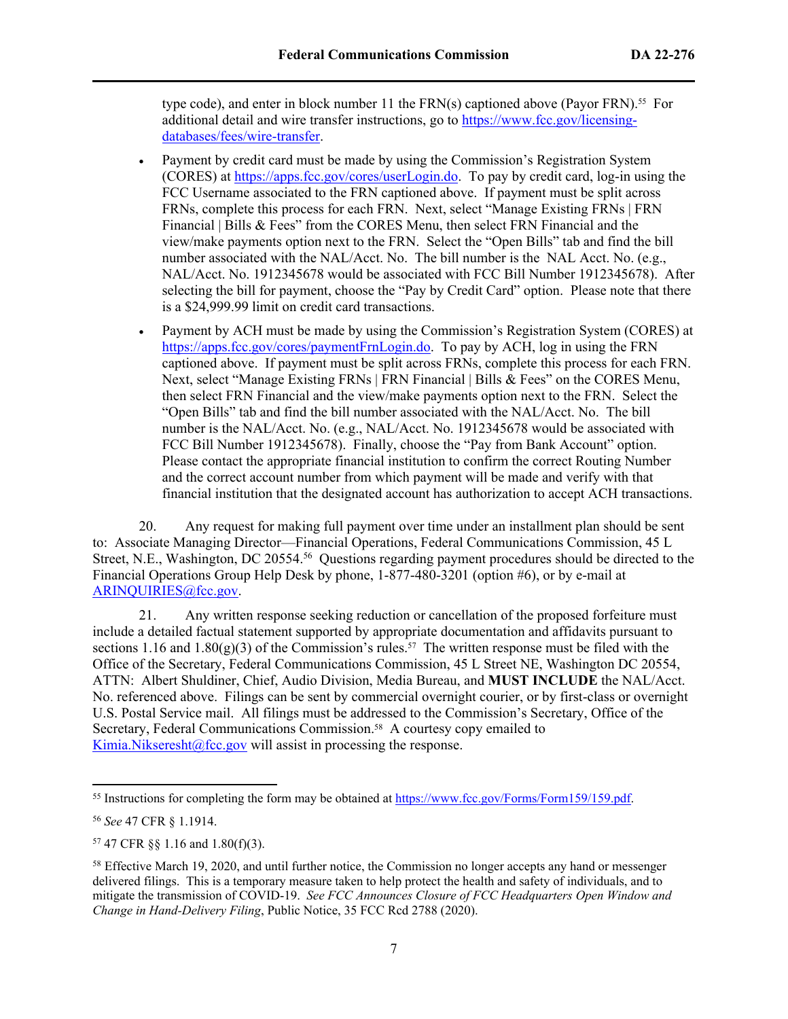type code), and enter in block number 11 the  $FRN(s)$  captioned above (Payor FRN).<sup>55</sup> For additional detail and wire transfer instructions, go to [https://www.fcc.gov/licensing](https://www.fcc.gov/licensing-databases/fees/wire-transfer)[databases/fees/wire-transfer.](https://www.fcc.gov/licensing-databases/fees/wire-transfer)

- Payment by credit card must be made by using the Commission's Registration System (CORES) at<https://apps.fcc.gov/cores/userLogin.do>. To pay by credit card, log-in using the FCC Username associated to the FRN captioned above. If payment must be split across FRNs, complete this process for each FRN. Next, select "Manage Existing FRNs | FRN Financial | Bills & Fees" from the CORES Menu, then select FRN Financial and the view/make payments option next to the FRN. Select the "Open Bills" tab and find the bill number associated with the NAL/Acct. No. The bill number is the NAL Acct. No. (e.g., NAL/Acct. No. 1912345678 would be associated with FCC Bill Number 1912345678). After selecting the bill for payment, choose the "Pay by Credit Card" option. Please note that there is a \$24,999.99 limit on credit card transactions.
- Payment by ACH must be made by using the Commission's Registration System (CORES) at [https://apps.fcc.gov/cores/paymentFrnLogin.do.](https://apps.fcc.gov/cores/paymentFrnLogin.do) To pay by ACH, log in using the FRN captioned above. If payment must be split across FRNs, complete this process for each FRN. Next, select "Manage Existing FRNs | FRN Financial | Bills & Fees" on the CORES Menu, then select FRN Financial and the view/make payments option next to the FRN. Select the "Open Bills" tab and find the bill number associated with the NAL/Acct. No. The bill number is the NAL/Acct. No. (e.g., NAL/Acct. No. 1912345678 would be associated with FCC Bill Number 1912345678). Finally, choose the "Pay from Bank Account" option. Please contact the appropriate financial institution to confirm the correct Routing Number and the correct account number from which payment will be made and verify with that financial institution that the designated account has authorization to accept ACH transactions.

20. Any request for making full payment over time under an installment plan should be sent to: Associate Managing Director—Financial Operations, Federal Communications Commission, 45 L Street, N.E., Washington, DC 20554.<sup>56</sup> Questions regarding payment procedures should be directed to the Financial Operations Group Help Desk by phone, 1-877-480-3201 (option #6), or by e-mail at [ARINQUIRIES@fcc.gov](mailto:ARINQUIRIES@fcc.gov).

21. Any written response seeking reduction or cancellation of the proposed forfeiture must include a detailed factual statement supported by appropriate documentation and affidavits pursuant to sections 1.16 and 1.80(g)(3) of the Commission's rules.<sup>57</sup> The written response must be filed with the Office of the Secretary, Federal Communications Commission, 45 L Street NE, Washington DC 20554, ATTN: Albert Shuldiner, Chief, Audio Division, Media Bureau, and **MUST INCLUDE** the NAL/Acct. No. referenced above. Filings can be sent by commercial overnight courier, or by first-class or overnight U.S. Postal Service mail. All filings must be addressed to the Commission's Secretary, Office of the Secretary, Federal Communications Commission.<sup>58</sup> A courtesy copy emailed to [Kimia.Nikseresht@fcc.gov](mailto:Alexander.Sanjenis@fcc.gov) will assist in processing the response.

<sup>55</sup> Instructions for completing the form may be obtained at<https://www.fcc.gov/Forms/Form159/159.pdf>.

<sup>56</sup> *See* 47 CFR § 1.1914.

<sup>57</sup> 47 CFR §§ 1.16 and 1.80(f)(3).

<sup>58</sup> Effective March 19, 2020, and until further notice, the Commission no longer accepts any hand or messenger delivered filings. This is a temporary measure taken to help protect the health and safety of individuals, and to mitigate the transmission of COVID-19. *See FCC Announces Closure of FCC Headquarters Open Window and Change in Hand-Delivery Filing*, Public Notice, 35 FCC Rcd 2788 (2020).